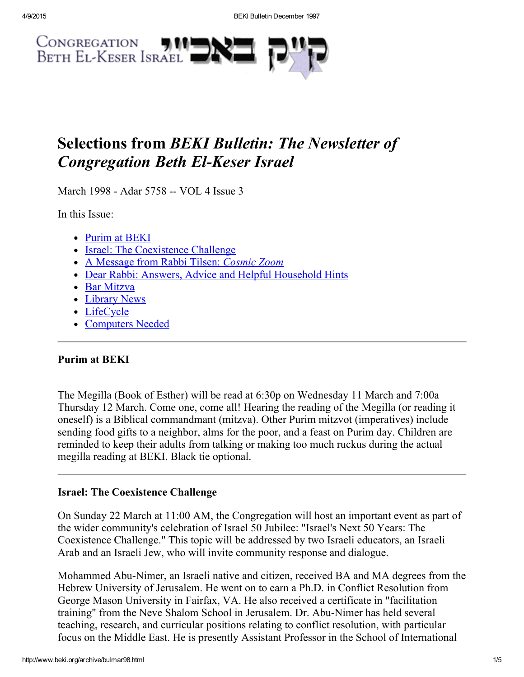

# Selections from BEKI Bulletin: The Newsletter of **Congregation Beth El-Keser Israel**

March 1998 - Adar 5758 -- VOL 4 Issue 3

In this Issue:

- [Purim](#page-0-1) at BEKI
- Israel: The [Coexistence](#page-0-0) Challenge
- A [Message](#page-1-0) from Rabbi Tilsen: Cosmic Zoom
- Dear Rabbi: Answers, Advice and Helpful [Household](#page-2-0) Hints
- Bar [Mitzva](#page-2-1)
- Library News
- [LifeCycle](#page-3-0)
- [Computers](#page-4-0) Needed

### <span id="page-0-1"></span>Purim at BEKI

The Megilla (Book of Esther) will be read at 6:30p on Wednesday 11 March and 7:00a Thursday 12 March. Come one, come all! Hearing the reading of the Megilla (or reading it oneself) is a Biblical commandmant (mitzva). Other Purim mitzvot (imperatives) include sending food gifts to a neighbor, alms for the poor, and a feast on Purim day. Children are reminded to keep their adults from talking or making too much ruckus during the actual megilla reading at BEKI. Black tie optional.

### <span id="page-0-0"></span>Israel: The Coexistence Challenge

On Sunday 22 March at 11:00 AM, the Congregation will host an important event as part of the wider community's celebration of Israel 50 Jubilee: "Israel's Next 50 Years: The Coexistence Challenge." This topic will be addressed by two Israeli educators, an Israeli Arab and an Israeli Jew, who will invite community response and dialogue.

Mohammed Abu-Nimer, an Israeli native and citizen, received BA and MA degrees from the Hebrew University of Jerusalem. He went on to earn a Ph.D. in Conflict Resolution from George Mason University in Fairfax, VA. He also received a certificate in "facilitation training" from the Neve Shalom School in Jerusalem. Dr. Abu-Nimer has held several teaching, research, and curricular positions relating to conflict resolution, with particular focus on the Middle East. He is presently Assistant Professor in the School of International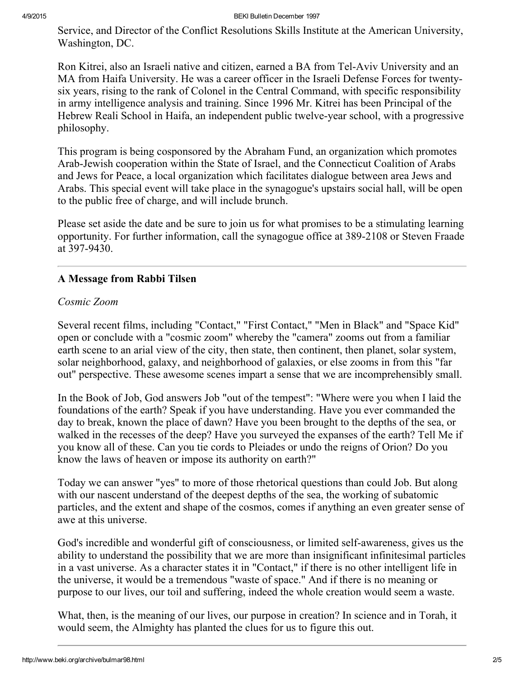Service, and Director of the Conflict Resolutions Skills Institute at the American University, Washington, DC.

Ron Kitrei, also an Israeli native and citizen, earned a BA from Tel-Aviv University and an MA from Haifa University. He was a career officer in the Israeli Defense Forces for twentysix years, rising to the rank of Colonel in the Central Command, with specific responsibility in army intelligence analysis and training. Since 1996 Mr. Kitrei has been Principal of the Hebrew Reali School in Haifa, an independent public twelve-year school, with a progressive philosophy.

This program is being cosponsored by the Abraham Fund, an organization which promotes Arab-Jewish cooperation within the State of Israel, and the Connecticut Coalition of Arabs and Jews for Peace, a local organization which facilitates dialogue between area Jews and Arabs. This special event will take place in the synagogue's upstairs social hall, will be open to the public free of charge, and will include brunch.

Please set aside the date and be sure to join us for what promises to be a stimulating learning opportunity. For further information, call the synagogue office at 389-2108 or Steven Fraade at 397-9430.

# <span id="page-1-0"></span>A Message from Rabbi Tilsen

# Cosmic Zoom

Several recent films, including "Contact," "First Contact," "Men in Black" and "Space Kid" open or conclude with a "cosmic zoom" whereby the "camera" zooms out from a familiar earth scene to an arial view of the city, then state, then continent, then planet, solar system, solar neighborhood, galaxy, and neighborhood of galaxies, or else zooms in from this "far out" perspective. These awesome scenes impart a sense that we are incomprehensibly small.

In the Book of Job, God answers Job "out of the tempest": "Where were you when I laid the foundations of the earth? Speak if you have understanding. Have you ever commanded the day to break, known the place of dawn? Have you been brought to the depths of the sea, or walked in the recesses of the deep? Have you surveyed the expanses of the earth? Tell Me if you know all of these. Can you tie cords to Pleiades or undo the reigns of Orion? Do you know the laws of heaven or impose its authority on earth?"

Today we can answer "yes" to more of those rhetorical questions than could Job. But along with our nascent understand of the deepest depths of the sea, the working of subatomic particles, and the extent and shape of the cosmos, comes if anything an even greater sense of awe at this universe.

God's incredible and wonderful gift of consciousness, or limited self-awareness, gives us the ability to understand the possibility that we are more than insignificant infinitesimal particles in a vast universe. As a character states it in "Contact," if there is no other intelligent life in the universe, it would be a tremendous "waste of space." And if there is no meaning or purpose to our lives, our toil and suffering, indeed the whole creation would seem a waste.

What, then, is the meaning of our lives, our purpose in creation? In science and in Torah, it would seem, the Almighty has planted the clues for us to figure this out.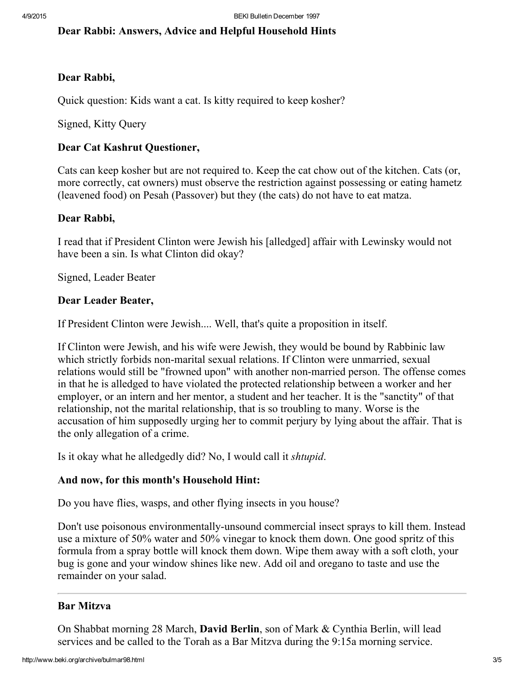## <span id="page-2-0"></span>Dear Rabbi: Answers, Advice and Helpful Household Hints

### Dear Rabbi,

Quick question: Kids want a cat. Is kitty required to keep kosher?

Signed, Kitty Query

### Dear Cat Kashrut Questioner,

Cats can keep kosher but are not required to. Keep the cat chow out of the kitchen. Cats (or, more correctly, cat owners) must observe the restriction against possessing or eating hametz (leavened food) on Pesah (Passover) but they (the cats) do not have to eat matza.

#### Dear Rabbi,

I read that if President Clinton were Jewish his [alledged] affair with Lewinsky would not have been a sin. Is what Clinton did okay?

Signed, Leader Beater

#### Dear Leader Beater,

If President Clinton were Jewish.... Well, that's quite a proposition in itself.

If Clinton were Jewish, and his wife were Jewish, they would be bound by Rabbinic law which strictly forbids non-marital sexual relations. If Clinton were unmarried, sexual relations would still be "frowned upon" with another non-married person. The offense comes in that he is alledged to have violated the protected relationship between a worker and her employer, or an intern and her mentor, a student and her teacher. It is the "sanctity" of that relationship, not the marital relationship, that is so troubling to many. Worse is the accusation of him supposedly urging her to commit perjury by lying about the affair. That is the only allegation of a crime.

Is it okay what he alledgedly did? No, I would call it shtupid.

### And now, for this month's Household Hint:

Do you have flies, wasps, and other flying insects in you house?

Don't use poisonous environmentally-unsound commercial insect sprays to kill them. Instead use a mixture of 50% water and 50% vinegar to knock them down. One good spritz of this formula from a spray bottle will knock them down. Wipe them away with a soft cloth, your bug is gone and your window shines like new. Add oil and oregano to taste and use the remainder on your salad.

### <span id="page-2-1"></span>Bar Mitzva

On Shabbat morning 28 March, David Berlin, son of Mark & Cynthia Berlin, will lead services and be called to the Torah as a Bar Mitzva during the 9:15a morning service.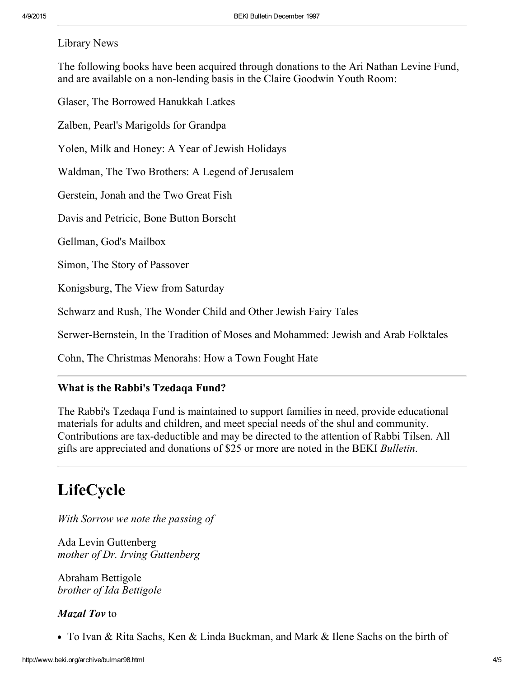#### Library News

The following books have been acquired through donations to the Ari Nathan Levine Fund, and are available on a non-lending basis in the Claire Goodwin Youth Room:

Glaser, The Borrowed Hanukkah Latkes

Zalben, Pearl's Marigolds for Grandpa

Yolen, Milk and Honey: A Year of Jewish Holidays

Waldman, The Two Brothers: A Legend of Jerusalem

Gerstein, Jonah and the Two Great Fish

Davis and Petricic, Bone Button Borscht

Gellman, God's Mailbox

Simon, The Story of Passover

Konigsburg, The View from Saturday

Schwarz and Rush, The Wonder Child and Other Jewish Fairy Tales

Serwer-Bernstein, In the Tradition of Moses and Mohammed: Jewish and Arab Folktales

Cohn, The Christmas Menorahs: How a Town Fought Hate

#### What is the Rabbi's Tzedaqa Fund?

The Rabbi's Tzedaqa Fund is maintained to support families in need, provide educational materials for adults and children, and meet special needs of the shul and community. Contributions are tax-deductible and may be directed to the attention of Rabbi Tilsen. All gifts are appreciated and donations of \$25 or more are noted in the BEKI Bulletin.

# <span id="page-3-0"></span>LifeCycle

With Sorrow we note the passing of

Ada Levin Guttenberg mother of Dr. Irving Guttenberg

Abraham Bettigole brother of Ida Bettigole

#### Mazal Toy to

• To Ivan & Rita Sachs, Ken & Linda Buckman, and Mark & Ilene Sachs on the birth of